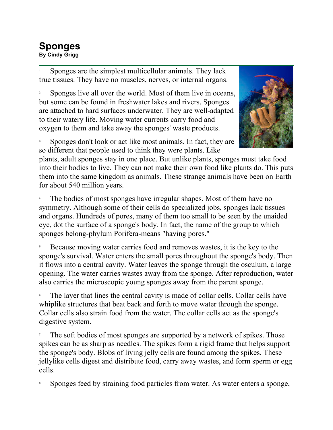## **Sponges By Cindy Grigg**

1 Sponges are the simplest multicellular animals. They lack true tissues. They have no muscles, nerves, or internal organs.

2 Sponges live all over the world. Most of them live in oceans, but some can be found in freshwater lakes and rivers. Sponges are attached to hard surfaces underwater. They are well-adapted to their watery life. Moving water currents carry food and oxygen to them and take away the sponges' waste products.



3 Sponges don't look or act like most animals. In fact, they are so different that people used to think they were plants. Like

plants, adult sponges stay in one place. But unlike plants, sponges must take food into their bodies to live. They can not make their own food like plants do. This puts them into the same kingdom as animals. These strange animals have been on Earth for about 540 million years.

4 The bodies of most sponges have irregular shapes. Most of them have no symmetry. Although some of their cells do specialized jobs, sponges lack tissues and organs. Hundreds of pores, many of them too small to be seen by the unaided eye, dot the surface of a sponge's body. In fact, the name of the group to which sponges belong-phylum Porifera-means "having pores."

5 Because moving water carries food and removes wastes, it is the key to the sponge's survival. Water enters the small pores throughout the sponge's body. Then it flows into a central cavity. Water leaves the sponge through the osculum, a large opening. The water carries wastes away from the sponge. After reproduction, water also carries the microscopic young sponges away from the parent sponge.

6 The layer that lines the central cavity is made of collar cells. Collar cells have whiplike structures that beat back and forth to move water through the sponge. Collar cells also strain food from the water. The collar cells act as the sponge's digestive system.

7 The soft bodies of most sponges are supported by a network of spikes. Those spikes can be as sharp as needles. The spikes form a rigid frame that helps support the sponge's body. Blobs of living jelly cells are found among the spikes. These jellylike cells digest and distribute food, carry away wastes, and form sperm or egg cells.

8 Sponges feed by straining food particles from water. As water enters a sponge,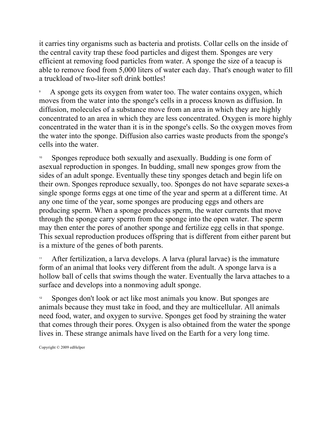it carries tiny organisms such as bacteria and protists. Collar cells on the inside of the central cavity trap these food particles and digest them. Sponges are very efficient at removing food particles from water. A sponge the size of a teacup is able to remove food from 5,000 liters of water each day. That's enough water to fill a truckload of two-liter soft drink bottles!

9 A sponge gets its oxygen from water too. The water contains oxygen, which moves from the water into the sponge's cells in a process known as diffusion. In diffusion, molecules of a substance move from an area in which they are highly concentrated to an area in which they are less concentrated. Oxygen is more highly concentrated in the water than it is in the sponge's cells. So the oxygen moves from the water into the sponge. Diffusion also carries waste products from the sponge's cells into the water.

Sponges reproduce both sexually and asexually. Budding is one form of asexual reproduction in sponges. In budding, small new sponges grow from the sides of an adult sponge. Eventually these tiny sponges detach and begin life on their own. Sponges reproduce sexually, too. Sponges do not have separate sexes-a single sponge forms eggs at one time of the year and sperm at a different time. At any one time of the year, some sponges are producing eggs and others are producing sperm. When a sponge produces sperm, the water currents that move through the sponge carry sperm from the sponge into the open water. The sperm may then enter the pores of another sponge and fertilize egg cells in that sponge. This sexual reproduction produces offspring that is different from either parent but is a mixture of the genes of both parents.

After fertilization, a larva develops. A larva (plural larvae) is the immature form of an animal that looks very different from the adult. A sponge larva is a hollow ball of cells that swims though the water. Eventually the larva attaches to a surface and develops into a nonmoving adult sponge.

<sup>12</sup> Sponges don't look or act like most animals you know. But sponges are animals because they must take in food, and they are multicellular. All animals need food, water, and oxygen to survive. Sponges get food by straining the water that comes through their pores. Oxygen is also obtained from the water the sponge lives in. These strange animals have lived on the Earth for a very long time.

Copyright © 2009 edHelper